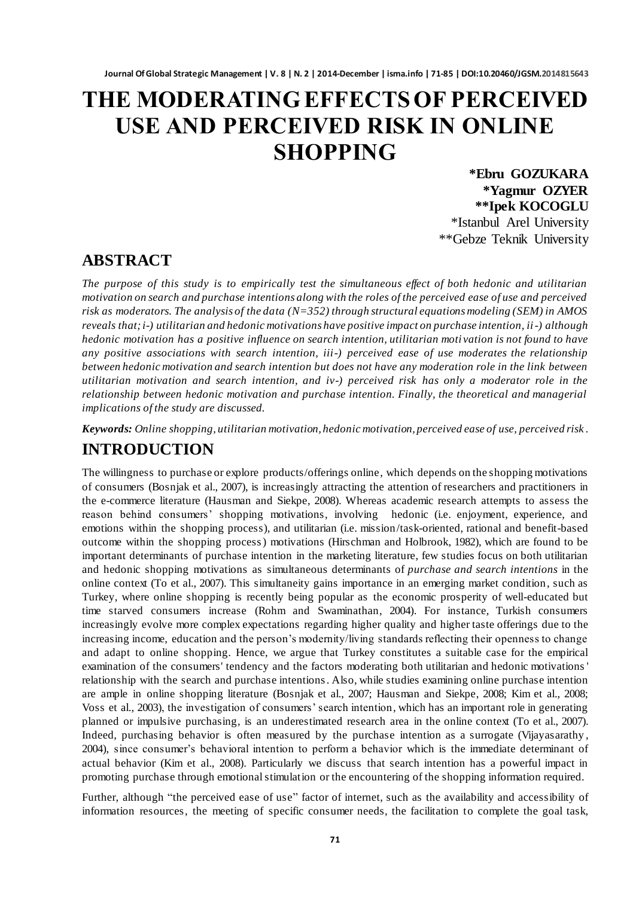# **THE MODERATING EFFECTS OF PERCEIVED USE AND PERCEIVED RISK IN ONLINE SHOPPING**

**\*Ebru GOZUKARA \*Yagmur OZYER \*\*Ipek KOCOGLU** \*Istanbul Arel University \*\*Gebze Teknik University

### **ABSTRACT**

*The purpose of this study is to empirically test the simultaneous effect of both hedonic and utilitarian motivation on search and purchase intentions along with the roles of the perceived ease of use and perceived risk as moderators. The analysis of the data (N=352) through structural equations modeling (SEM) in AMOS reveals that; i-) utilitarian and hedonic motivations have positive impact on purchase intention, ii-) although hedonic motivation has a positive influence on search intention, utilitarian moti vation is not found to have any positive associations with search intention, iii-) perceived ease of use moderates the relationship between hedonic motivation and search intention but does not have any moderation role in the link between utilitarian motivation and search intention, and iv-) perceived risk has only a moderator role in the relationship between hedonic motivation and purchase intention. Finally, the theoretical and managerial implications of the study are discussed.*

*Keywords: Online shopping, utilitarian motivation, hedonic motivation, perceived ease of use, perceived risk .*

### **INTRODUCTION**

The willingness to purchase or explore products/offerings online, which depends on the shopping motivations of consumers (Bosnjak et al., 2007), is increasingly attracting the attention of researchers and practitioners in the e-commerce literature (Hausman and Siekpe, 2008). Whereas academic research attempts to assess the reason behind consumers' shopping motivations, involving hedonic (i.e. enjoyment, experience, and emotions within the shopping process), and utilitarian (i.e. mission/task-oriented, rational and benefit-based outcome within the shopping process) motivations (Hirschman and Holbrook, 1982), which are found to be important determinants of purchase intention in the marketing literature, few studies focus on both utilitarian and hedonic shopping motivations as simultaneous determinants of *purchase and search intentions* in the online context (To et al., 2007). This simultaneity gains importance in an emerging market condition, such as Turkey, where online shopping is recently being popular as the economic prosperity of well-educated but time starved consumers increase (Rohm and Swaminathan, 2004). For instance, Turkish consumers increasingly evolve more complex expectations regarding higher quality and higher taste offerings due to the increasing income, education and the person's modernity/living standards reflecting their openness to change and adapt to online shopping. Hence, we argue that Turkey constitutes a suitable case for the empirical examination of the consumers' tendency and the factors moderating both utilitarian and hedonic motivations ' relationship with the search and purchase intentions. Also, while studies examining online purchase intention are ample in online shopping literature (Bosnjak et al., 2007; Hausman and Siekpe, 2008; Kim et al., 2008; Voss et al., 2003), the investigation of consumers' search intention, which has an important role in generating planned or impulsive purchasing, is an underestimated research area in the online context (To et al., 2007). Indeed, purchasing behavior is often measured by the purchase intention as a surrogate (Vijayasarathy , 2004), since consumer's behavioral intention to perform a behavior which is the immediate determinant of actual behavior (Kim et al., 2008). Particularly we discuss that search intention has a powerful impact in promoting purchase through emotional stimulation or the encountering of the shopping information required.

Further, although "the perceived ease of use" factor of internet, such as the availability and accessibility of information resources, the meeting of specific consumer needs, the facilitation to complete the goal task,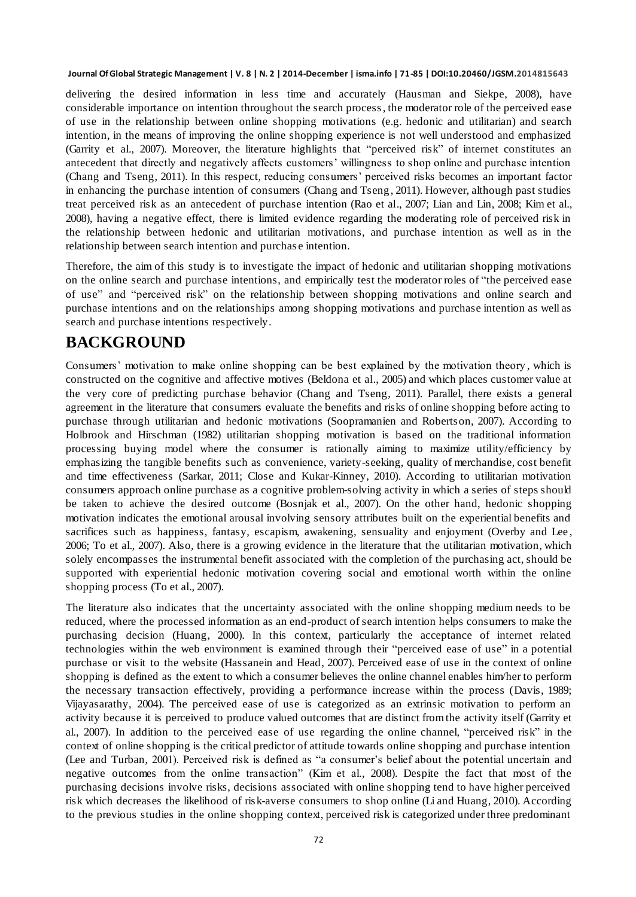delivering the desired information in less time and accurately (Hausman and Siekpe, 2008), have considerable importance on intention throughout the search process, the moderator role of the perceived ease of use in the relationship between online shopping motivations (e.g. hedonic and utilitarian) and search intention, in the means of improving the online shopping experience is not well understood and emphasized (Garrity et al., 2007). Moreover, the literature highlights that "perceived risk" of internet constitutes an antecedent that directly and negatively affects customers' willingness to shop online and purchase intention (Chang and Tseng, 2011). In this respect, reducing consumers' perceived risks becomes an important factor in enhancing the purchase intention of consumers (Chang and Tseng , 2011). However, although past studies treat perceived risk as an antecedent of purchase intention (Rao et al., 2007; Lian and Lin, 2008; Kim et al., 2008), having a negative effect, there is limited evidence regarding the moderating role of perceived risk in the relationship between hedonic and utilitarian motivations, and purchase intention as well as in the relationship between search intention and purchas e intention.

Therefore, the aim of this study is to investigate the impact of hedonic and utilitarian shopping motivations on the online search and purchase intentions, and empirically test the moderator roles of "the perceived ease" of use" and "perceived risk" on the relationship between shopping motivations and online search and purchase intentions and on the relationships among shopping motivations and purchase intention as well as search and purchase intentions respectively.

# **BACKGROUND**

Consumers' motivation to make online shopping can be best explained by the motivation theory , which is constructed on the cognitive and affective motives (Beldona et al., 2005) and which places customer value at the very core of predicting purchase behavior (Chang and Tseng, 2011). Parallel, there exists a general agreement in the literature that consumers evaluate the benefits and risks of online shopping before acting to purchase through utilitarian and hedonic motivations (Soopramanien and Robertson, 2007). According to Holbrook and Hirschman (1982) utilitarian shopping motivation is based on the traditional information processing buying model where the consumer is rationally aiming to maximize utility/efficiency by emphasizing the tangible benefits such as convenience, variety-seeking, quality of merchandise, cost benefit and time effectiveness (Sarkar, 2011; Close and Kukar-Kinney, 2010). According to utilitarian motivation consumers approach online purchase as a cognitive problem-solving activity in which a series of steps should be taken to achieve the desired outcome (Bosnjak et al., 2007). On the other hand, hedonic shopping motivation indicates the emotional arousal involving sensory attributes built on the experiential benefits and sacrifices such as happiness, fantasy, escapism, awakening, sensuality and enjoyment (Overby and Lee, 2006; To et al., 2007). Also, there is a growing evidence in the literature that the utilitarian motivation, which solely encompasses the instrumental benefit associated with the completion of the purchasing act, should be supported with experiential hedonic motivation covering social and emotional worth within the online shopping process (To et al., 2007).

The literature also indicates that the uncertainty associated with the online shopping medium needs to be reduced, where the processed information as an end-product of search intention helps consumers to make the purchasing decision (Huang, 2000). In this context, particularly the acceptance of internet related technologies within the web environment is examined through their "perceived ease of use" in a potential purchase or visit to the website (Hassanein and Head, 2007). Perceived ease of use in the context of online shopping is defined as the extent to which a consumer believes the online channel enables him/her to perform the necessary transaction effectively, providing a performance increase within the process (Davis, 1989; Vijayasarathy, 2004). The perceived ease of use is categorized as an extrinsic motivation to perform an activity because it is perceived to produce valued outcomes that are distinct from the activity itself (Garrity et al., 2007). In addition to the perceived ease of use regarding the online channel, "perceived risk" in the context of online shopping is the critical predictor of attitude towards online shopping and purchase intention (Lee and Turban, 2001). Perceived risk is defined as "a consumer's belief about the potential uncertain and negative outcomes from the online transaction" (Kim et al., 2008). Despite the fact that most of the purchasing decisions involve risks, decisions associated with online shopping tend to have higher perceived risk which decreases the likelihood of risk-averse consumers to shop online (Li and Huang, 2010). According to the previous studies in the online shopping context, perceived risk is categorized under three predominant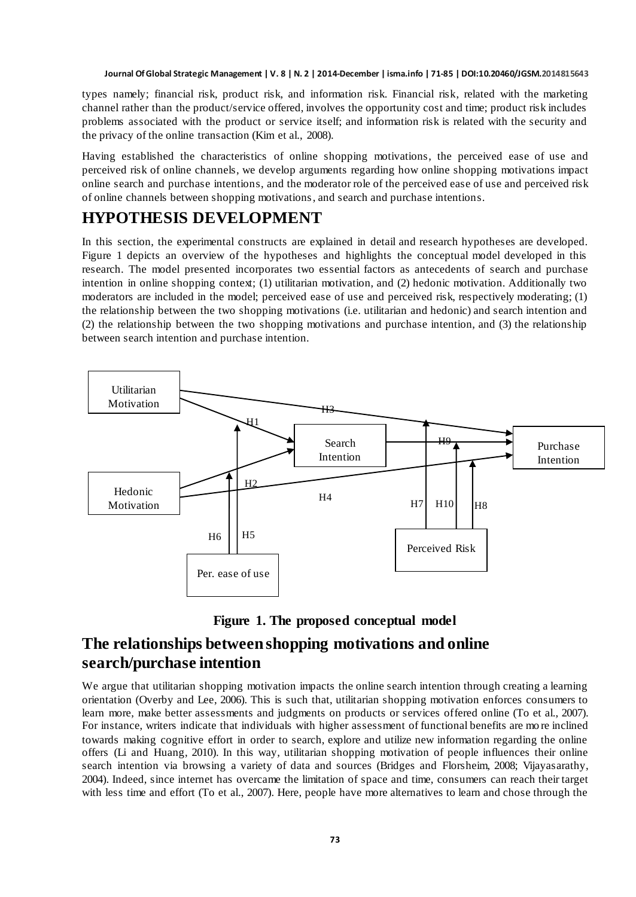types namely; financial risk, product risk, and information risk. Financial risk, related with the marketing channel rather than the product/service offered, involves the opportunity cost and time; product risk includes problems associated with the product or service itself; and information risk is related with the security and the privacy of the online transaction (Kim et al., 2008).

Having established the characteristics of online shopping motivations, the perceived ease of use and perceived risk of online channels, we develop arguments regarding how online shopping motivations impact online search and purchase intentions, and the moderator role of the perceived ease of use and perceived risk of online channels between shopping motivations, and search and purchase intentions.

### **HYPOTHESIS DEVELOPMENT**

In this section, the experimental constructs are explained in detail and research hypotheses are developed. Figure 1 depicts an overview of the hypotheses and highlights the conceptual model developed in this research. The model presented incorporates two essential factors as antecedents of search and purchase intention in online shopping context; (1) utilitarian motivation, and (2) hedonic motivation. Additionally two moderators are included in the model; perceived ease of use and perceived risk, respectively moderating; (1) the relationship between the two shopping motivations (i.e. utilitarian and hedonic) and search intention and (2) the relationship between the two shopping motivations and purchase intention, and (3) the relationship between search intention and purchase intention.





## **The relationships between shopping motivations and online search/purchase intention**

We argue that utilitarian shopping motivation impacts the online search intention through creating a learning orientation (Overby and Lee, 2006). This is such that, utilitarian shopping motivation enforces consumers to learn more, make better assessments and judgments on products or services offered online (To et al., 2007). For instance, writers indicate that individuals with higher assessment of functional benefits are mo re inclined towards making cognitive effort in order to search, explore and utilize new information regarding the online offers (Li and Huang, 2010). In this way, utilitarian shopping motivation of people influences their online search intention via browsing a variety of data and sources (Bridges and Florsheim, 2008; Vijayasarathy, 2004). Indeed, since internet has overcame the limitation of space and time, consumers can reach their target with less time and effort (To et al., 2007). Here, people have more alternatives to learn and chose through the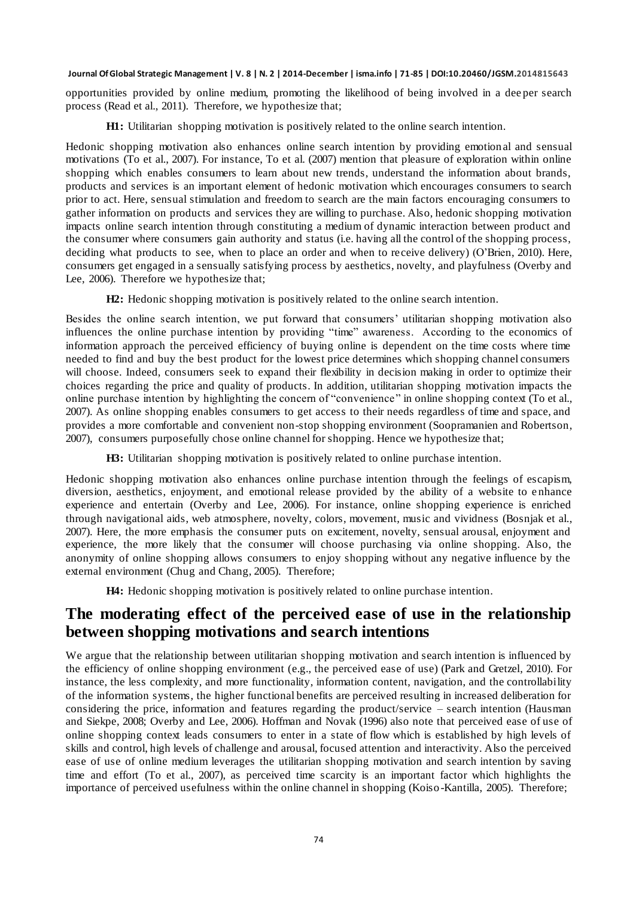opportunities provided by online medium, promoting the likelihood of being involved in a dee per search process (Read et al., 2011). Therefore, we hypothesize that;

**H1:** Utilitarian shopping motivation is positively related to the online search intention.

Hedonic shopping motivation also enhances online search intention by providing emotional and sensual motivations (To et al., 2007). For instance, To et al. (2007) mention that pleasure of exploration within online shopping which enables consumers to learn about new trends, understand the information about brands, products and services is an important element of hedonic motivation which encourages consumers to search prior to act. Here, sensual stimulation and freedom to search are the main factors encouraging consumers to gather information on products and services they are willing to purchase. Also, hedonic shopping motivation impacts online search intention through constituting a medium of dynamic interaction between product and the consumer where consumers gain authority and status (i.e. having all the control of the shopping process, deciding what products to see, when to place an order and when to receive delivery) (O'Brien, 2010). Here, consumers get engaged in a sensually satisfying process by aesthetics, novelty, and playfulness (Overby and Lee, 2006). Therefore we hypothesize that;

**H2:** Hedonic shopping motivation is positively related to the online search intention.

Besides the online search intention, we put forward that consumers' utilitarian shopping motivation also influences the online purchase intention by providing "time" awareness. According to the economics of information approach the perceived efficiency of buying online is dependent on the time costs where time needed to find and buy the best product for the lowest price determines which shopping channel consumers will choose. Indeed, consumers seek to expand their flexibility in decision making in order to optimize their choices regarding the price and quality of products. In addition, utilitarian shopping motivation impacts the online purchase intention by highlighting the concern of "convenience" in online shopping context (To et al., 2007). As online shopping enables consumers to get access to their needs regardless of time and space, and provides a more comfortable and convenient non-stop shopping environment (Soopramanien and Robertson, 2007), consumers purposefully chose online channel for shopping. Hence we hypothesize that;

**H3:** Utilitarian shopping motivation is positively related to online purchase intention.

Hedonic shopping motivation also enhances online purchase intention through the feelings of escapism, diversion, aesthetics, enjoyment, and emotional release provided by the ability of a website to e nhance experience and entertain (Overby and Lee, 2006). For instance, online shopping experience is enriched through navigational aids, web atmosphere, novelty, colors, movement, music and vividness (Bosnjak et al., 2007). Here, the more emphasis the consumer puts on excitement, novelty, sensual arousal, enjoyment and experience, the more likely that the consumer will choose purchasing via online shopping. Also, the anonymity of online shopping allows consumers to enjoy shopping without any negative influence by the external environment (Chug and Chang, 2005). Therefore;

**H4:** Hedonic shopping motivation is positively related to online purchase intention.

### **The moderating effect of the perceived ease of use in the relationship between shopping motivations and search intentions**

We argue that the relationship between utilitarian shopping motivation and search intention is influenced by the efficiency of online shopping environment (e.g., the perceived ease of use) (Park and Gretzel, 2010). For instance, the less complexity, and more functionality, information content, navigation, and the controllability of the information systems, the higher functional benefits are perceived resulting in increased deliberation for considering the price, information and features regarding the product/service – search intention (Hausman and Siekpe, 2008; Overby and Lee, 2006). Hoffman and Novak (1996) also note that perceived ease of use of online shopping context leads consumers to enter in a state of flow which is established by high levels of skills and control, high levels of challenge and arousal, focused attention and interactivity. Also the perceived ease of use of online medium leverages the utilitarian shopping motivation and search intention by saving time and effort (To et al., 2007), as perceived time scarcity is an important factor which highlights the importance of perceived usefulness within the online channel in shopping (Koiso -Kantilla, 2005). Therefore;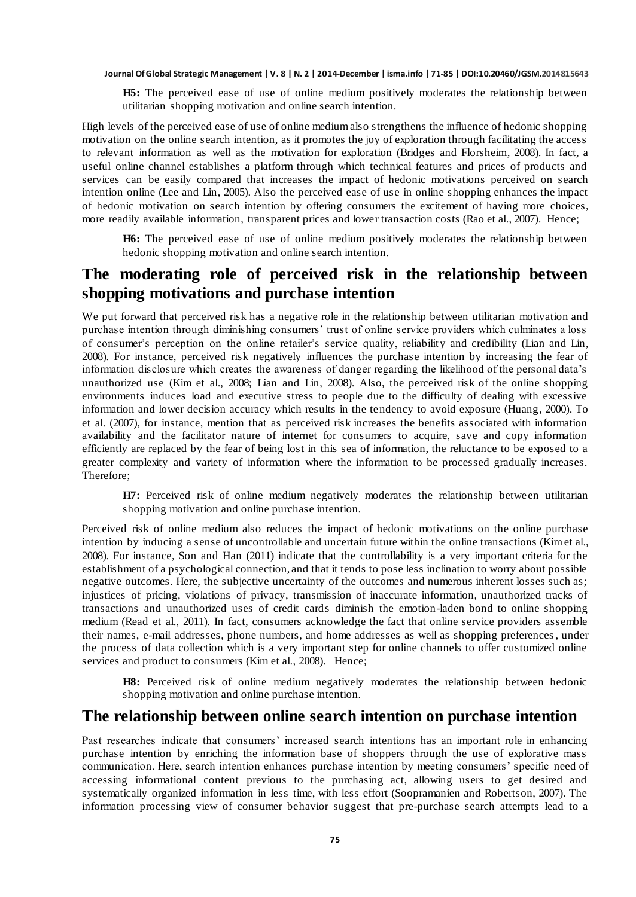**H5:** The perceived ease of use of online medium positively moderates the relationship between utilitarian shopping motivation and online search intention.

High levels of the perceived ease of use of online medium also strengthens the influence of hedonic shopping motivation on the online search intention, as it promotes the joy of exploration through facilitating the access to relevant information as well as the motivation for exploration (Bridges and Florsheim, 2008). In fact, a useful online channel establishes a platform through which technical features and prices of products and services can be easily compared that increases the impact of hedonic motivations perceived on search intention online (Lee and Lin, 2005). Also the perceived ease of use in online shopping enhances the impact of hedonic motivation on search intention by offering consumers the excitement of having more choices, more readily available information, transparent prices and lower transaction costs (Rao et al., 2007). Hence;

**H6:** The perceived ease of use of online medium positively moderates the relationship between hedonic shopping motivation and online search intention.

### **The moderating role of perceived risk in the relationship between shopping motivations and purchase intention**

We put forward that perceived risk has a negative role in the relationship between utilitarian motivation and purchase intention through diminishing consumers' trust of online service providers which culminates a loss of consumer's perception on the online retailer's service quality, reliability and credibility (Lian and Lin, 2008). For instance, perceived risk negatively influences the purchase intention by increasing the fear of information disclosure which creates the awareness of danger regarding the likelihood of the personal data's unauthorized use (Kim et al., 2008; Lian and Lin, 2008). Also, the perceived risk of the online shopping environments induces load and executive stress to people due to the difficulty of dealing with excessive information and lower decision accuracy which results in the tendency to avoid exposure (Huang, 2000). To et al. (2007), for instance, mention that as perceived risk increases the benefits associated with information availability and the facilitator nature of internet for consumers to acquire, save and copy information efficiently are replaced by the fear of being lost in this sea of information, the reluctance to be exposed to a greater complexity and variety of information where the information to be processed gradually increases. Therefore;

**H7:** Perceived risk of online medium negatively moderates the relationship betwe en utilitarian shopping motivation and online purchase intention.

Perceived risk of online medium also reduces the impact of hedonic motivations on the online purchase intention by inducing a sense of uncontrollable and uncertain future within the online transactions (Kim et al., 2008). For instance, Son and Han (2011) indicate that the controllability is a very important criteria for the establishment of a psychological connection, and that it tends to pose less inclination to worry about possible negative outcomes. Here, the subjective uncertainty of the outcomes and numerous inherent losses such as; injustices of pricing, violations of privacy, transmission of inaccurate information, unauthorized tracks of transactions and unauthorized uses of credit cards diminish the emotion-laden bond to online shopping medium (Read et al., 2011). In fact, consumers acknowledge the fact that online service providers assemble their names, e-mail addresses, phone numbers, and home addresses as well as shopping preferences, under the process of data collection which is a very important step for online channels to offer customized online services and product to consumers (Kim et al., 2008). Hence;

**H8:** Perceived risk of online medium negatively moderates the relationship between hedonic shopping motivation and online purchase intention.

#### **The relationship between online search intention on purchase intention**

Past researches indicate that consumers' increased search intentions has an important role in enhancing purchase intention by enriching the information base of shoppers through the use of explorative mass communication. Here, search intention enhances purchase intention by meeting consumers' specific need of accessing informational content previous to the purchasing act, allowing users to get desired and systematically organized information in less time, with less effort (Soopramanien and Robertson, 2007). The information processing view of consumer behavior suggest that pre-purchase search attempts lead to a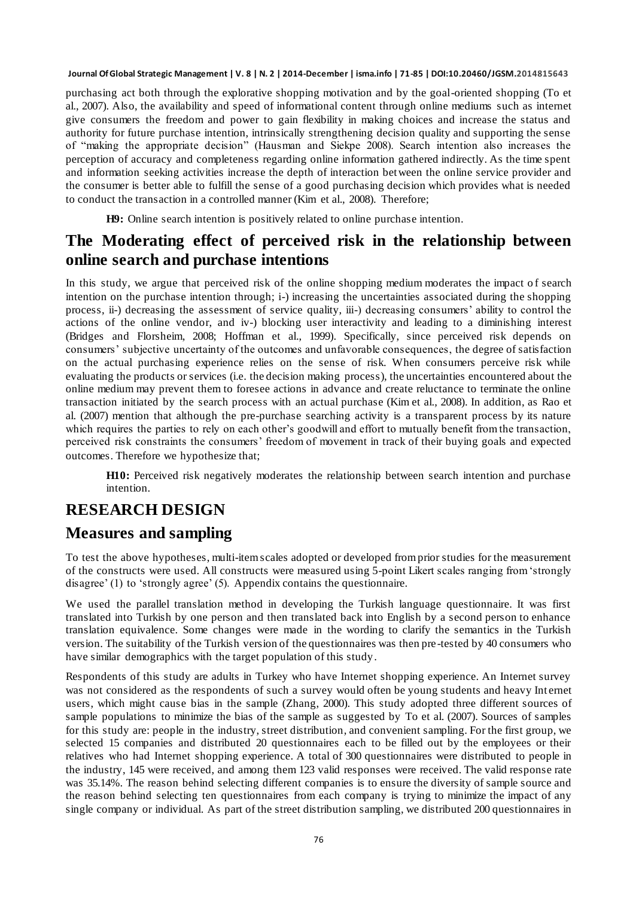purchasing act both through the explorative shopping motivation and by the goal-oriented shopping (To et al., 2007). Also, the availability and speed of informational content through online mediums such as internet give consumers the freedom and power to gain flexibility in making choices and increase the status and authority for future purchase intention, intrinsically strengthening decision quality and supporting the sense of "making the appropriate decision" (Hausman and Siekpe 2008). Search intention also increases the perception of accuracy and completeness regarding online information gathered indirectly. As the time spent and information seeking activities increase the depth of interaction between the online service provider and the consumer is better able to fulfill the sense of a good purchasing decision which provides what is needed to conduct the transaction in a controlled manner (Kim et al., 2008). Therefore;

**H9:** Online search intention is positively related to online purchase intention.

# **The Moderating effect of perceived risk in the relationship between online search and purchase intentions**

In this study, we argue that perceived risk of the online shopping medium moderates the impact of search intention on the purchase intention through; i-) increasing the uncertainties associated during the shopping process, ii-) decreasing the assessment of service quality, iii-) decreasing consumers' ability to control the actions of the online vendor, and iv-) blocking user interactivity and leading to a diminishing interest (Bridges and Florsheim, 2008; Hoffman et al., 1999). Specifically, since perceived risk depends on consumers' subjective uncertainty of the outcomes and unfavorable consequences, the degree of satisfaction on the actual purchasing experience relies on the sense of risk. When consumers perceive risk while evaluating the products or services (i.e. the decision making process), the uncertainties encountered about the online medium may prevent them to foresee actions in advance and create reluctance to terminate the online transaction initiated by the search process with an actual purchase (Kim et al., 2008). In addition, as Rao et al. (2007) mention that although the pre-purchase searching activity is a transparent process by its nature which requires the parties to rely on each other's goodwill and effort to mutually benefit from the transaction, perceived risk constraints the consumers' freedom of movement in track of their buying goals and expected outcomes. Therefore we hypothesize that;

**H10:** Perceived risk negatively moderates the relationship between search intention and purchase intention.

### **RESEARCH DESIGN**

### **Measures and sampling**

To test the above hypotheses, multi-item scales adopted or developed from prior studies for the measurement of the constructs were used. All constructs were measured using 5-point Likert scales ranging from ‗strongly disagree' (1) to 'strongly agree' (5). [Appendix c](http://www.sciencedirect.com/science/article/pii/S0923474809000204#ref_app1)ontains the questionnaire.

We used the parallel translation method in developing the Turkish language questionnaire. It was first translated into Turkish by one person and then translated back into English by a second person to enhance translation equivalence. Some changes were made in the wording to clarify the semantics in the Turkish version. The suitability of the Turkish version of the questionnaires was then pre-tested by 40 consumers who have similar demographics with the target population of this study.

Respondents of this study are adults in Turkey who have Internet shopping experience. An Internet survey was not considered as the respondents of such a survey would often be young students and heavy Int ernet users, which might cause bias in the sample (Zhang, 2000). This study adopted three different sources of sample populations to minimize the bias of the sample as suggested by To et al. (2007). Sources of samples for this study are: people in the industry, street distribution, and convenient sampling. For the first group, we selected 15 companies and distributed 20 questionnaires each to be filled out by the employees or their relatives who had Internet shopping experience. A total of 300 questionnaires were distributed to people in the industry, 145 were received, and among them 123 valid responses were received. The valid response rate was 35.14%. The reason behind selecting different companies is to ensure the diversity of sample source and the reason behind selecting ten questionnaires from each company is trying to minimize the impact of any single company or individual. As part of the street distribution sampling, we distributed 200 questionnaires in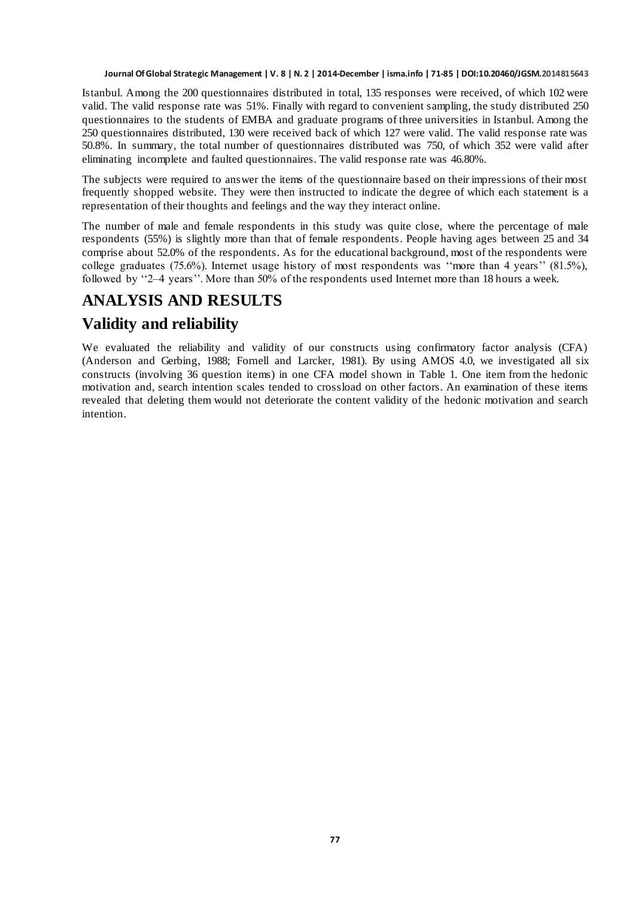Istanbul. Among the 200 questionnaires distributed in total, 135 responses were received, of which 102 were valid. The valid response rate was 51%. Finally with regard to convenient sampling, the study distributed 250 questionnaires to the students of EMBA and graduate programs of three universities in Istanbul. Among the 250 questionnaires distributed, 130 were received back of which 127 were valid. The valid response rate was 50.8%. In summary, the total number of questionnaires distributed was 750, of which 352 were valid after eliminating incomplete and faulted questionnaires. The valid response rate was 46.80%.

The subjects were required to answer the items of the questionnaire based on their impressions of their most frequently shopped website. They were then instructed to indicate the degree of which each statement is a representation of their thoughts and feelings and the way they interact online.

The number of male and female respondents in this study was quite close, where the percentage of male respondents (55%) is slightly more than that of female respondents. People having ages between 25 and 34 comprise about 52.0% of the respondents. As for the educational background, most of the respondents were college graduates (75.6%). Internet usage history of most respondents was "more than 4 years" (81.5%), followed by "2–4 years". More than 50% of the respondents used Internet more than 18 hours a week.

# **ANALYSIS AND RESULTS**

# **Validity and reliability**

We evaluated the reliability and validity of our constructs using confirmatory factor analysis (CFA) (Anderson and Gerbing, 1988; Fornell and Larcker, 1981). By using AMOS 4.0, we investigated all six constructs (involving 36 question items) in one CFA model shown in Table 1. One item from the hedonic motivation and, search intention scales tended to crossload on other factors. An examination of these items revealed that deleting them would not deteriorate the content validity of the hedonic motivation and search intention.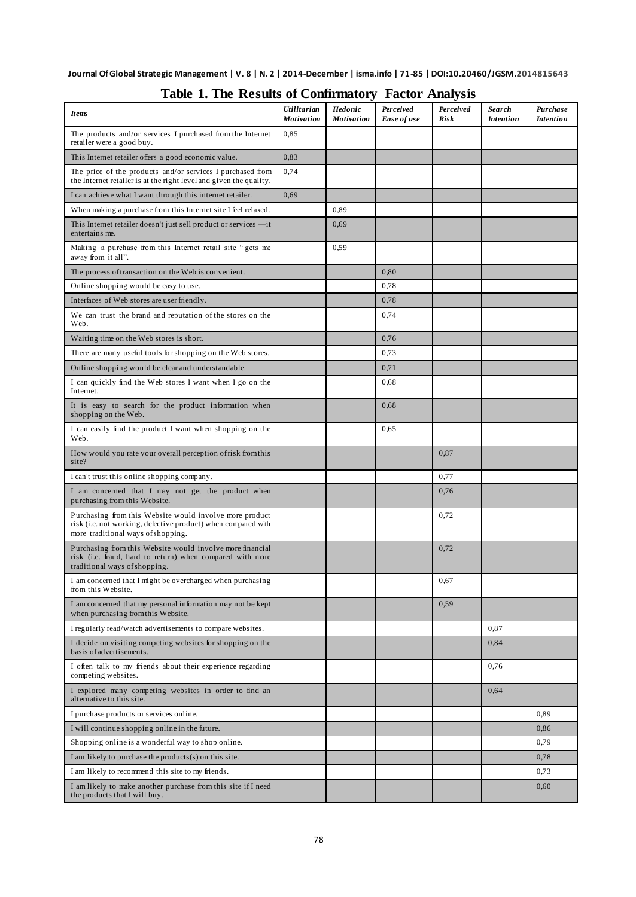| <b>Items</b>                                                                                                                                                   | <i>Utilitarian</i><br><b>Motivation</b> | <b>Hedonic</b><br><b>Motivation</b> | Perceived<br>Ease of use | Perceived<br>Risk | <b>Search</b><br><b>Intention</b> | Purchase<br><b>Intention</b> |
|----------------------------------------------------------------------------------------------------------------------------------------------------------------|-----------------------------------------|-------------------------------------|--------------------------|-------------------|-----------------------------------|------------------------------|
| The products and/or services I purchased from the Internet<br>retailer were a good buy.                                                                        | 0,85                                    |                                     |                          |                   |                                   |                              |
| This Internet retailer offers a good economic value.                                                                                                           | 0,83                                    |                                     |                          |                   |                                   |                              |
| The price of the products and/or services I purchased from<br>the Internet retailer is at the right level and given the quality.                               | 0,74                                    |                                     |                          |                   |                                   |                              |
| I can achieve what I want through this internet retailer.                                                                                                      | 0.69                                    |                                     |                          |                   |                                   |                              |
| When making a purchase from this Internet site I feel relaxed.                                                                                                 |                                         | 0,89                                |                          |                   |                                   |                              |
| This Internet retailer doesn't just sell product or services —it<br>entertains me.                                                                             |                                         | 0,69                                |                          |                   |                                   |                              |
| Making a purchase from this Internet retail site "gets me<br>away from it all".                                                                                |                                         | 0,59                                |                          |                   |                                   |                              |
| The process of transaction on the Web is convenient.                                                                                                           |                                         |                                     | 0.80                     |                   |                                   |                              |
| Online shopping would be easy to use.                                                                                                                          |                                         |                                     | 0.78                     |                   |                                   |                              |
| Interfaces of Web stores are user friendly.                                                                                                                    |                                         |                                     | 0,78                     |                   |                                   |                              |
| We can trust the brand and reputation of the stores on the<br>Web.                                                                                             |                                         |                                     | 0,74                     |                   |                                   |                              |
| Waiting time on the Web stores is short.                                                                                                                       |                                         |                                     | 0,76                     |                   |                                   |                              |
| There are many useful tools for shopping on the Web stores.                                                                                                    |                                         |                                     | 0,73                     |                   |                                   |                              |
| Online shopping would be clear and understandable.                                                                                                             |                                         |                                     | 0,71                     |                   |                                   |                              |
| I can quickly find the Web stores I want when I go on the<br>Internet.                                                                                         |                                         |                                     | 0.68                     |                   |                                   |                              |
| It is easy to search for the product information when<br>shopping on the Web.                                                                                  |                                         |                                     | 0,68                     |                   |                                   |                              |
| I can easily find the product I want when shopping on the<br>Web.                                                                                              |                                         |                                     | 0.65                     |                   |                                   |                              |
| How would you rate your overall perception of risk from this<br>site?                                                                                          |                                         |                                     |                          | 0,87              |                                   |                              |
| I can't trust this online shopping company.                                                                                                                    |                                         |                                     |                          | 0,77              |                                   |                              |
| I am concerned that I may not get the product when<br>purchasing from this Website.                                                                            |                                         |                                     |                          | 0,76              |                                   |                              |
| Purchasing from this Website would involve more product<br>risk (i.e. not working, defective product) when compared with<br>more traditional ways of shopping. |                                         |                                     |                          | 0,72              |                                   |                              |
| Purchasing from this Website would involve more financial<br>risk (i.e. fraud, hard to return) when compared with more<br>traditional ways of shopping.        |                                         |                                     |                          | 0,72              |                                   |                              |
| I am concerned that I might be overcharged when purchasing<br>from this Website.                                                                               |                                         |                                     |                          | 0,67              |                                   |                              |
| I am concerned that my personal information may not be kept<br>when purchasing from this Website.                                                              |                                         |                                     |                          | 0,59              |                                   |                              |
| I regularly read/watch advertisements to compare websites.                                                                                                     |                                         |                                     |                          |                   | 0,87                              |                              |
| I decide on visiting competing websites for shopping on the<br>basis of advertisements.                                                                        |                                         |                                     |                          |                   | 0,84                              |                              |
| I often talk to my friends about their experience regarding<br>competing websites.                                                                             |                                         |                                     |                          |                   | 0,76                              |                              |
| I explored many competing websites in order to find an<br>alternative to this site.                                                                            |                                         |                                     |                          |                   | 0,64                              |                              |
| I purchase products or services online.                                                                                                                        |                                         |                                     |                          |                   |                                   | 0,89                         |
| I will continue shopping online in the future.                                                                                                                 |                                         |                                     |                          |                   |                                   | 0,86                         |
| Shopping online is a wonderful way to shop online.                                                                                                             |                                         |                                     |                          |                   |                                   | 0,79                         |
| I am likely to purchase the products(s) on this site.                                                                                                          |                                         |                                     |                          |                   |                                   | 0,78                         |
| I am likely to recommend this site to my friends.                                                                                                              |                                         |                                     |                          |                   |                                   | 0,73                         |
| I am likely to make another purchase from this site if I need<br>the products that I will buy.                                                                 |                                         |                                     |                          |                   |                                   | 0,60                         |

#### **Table 1. The Results of Confirmatory Factor Analysis**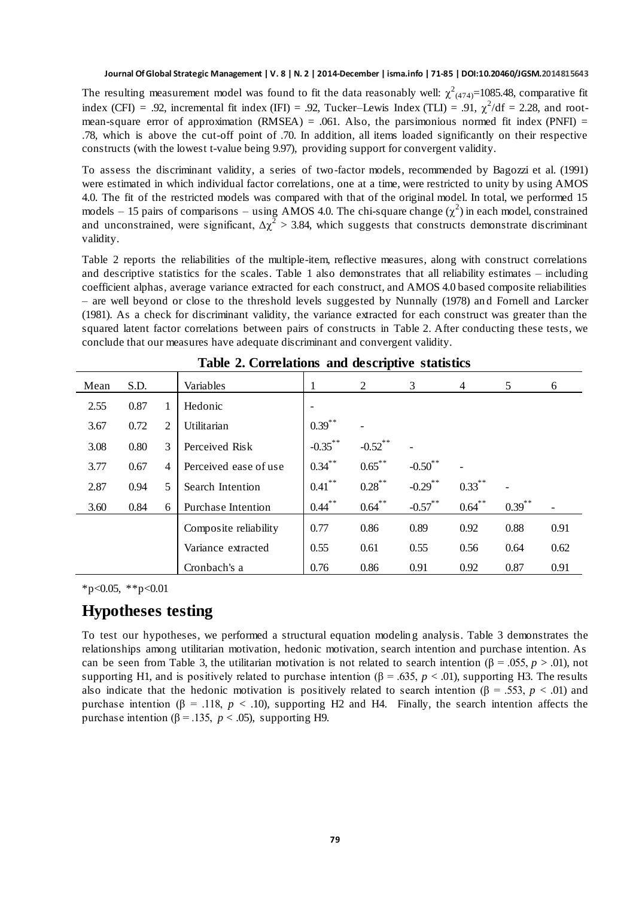The resulting measurement model was found to fit the data reasonably well:  $\chi^2_{(474)=}1085.48$ , comparative fit index (CFI) = .92, incremental fit index (IFI) = .92, Tucker–Lewis Index (TLI) = .91,  $\chi^2$ /df = 2.28, and rootmean-square error of approximation (RMSEA) = .061. Also, the parsimonious normed fit index (PNFI) = .78, which is above the cut-off point of .70. In addition, all items loaded significantly on their respective constructs (with the lowest t-value being 9.97), providing support for convergent validity.

To assess the discriminant validity, a series of two-factor models, recommended by Bagozzi et al. (1991) were estimated in which individual factor correlations, one at a time, were restricted to unity by using AMOS 4.0. The fit of the restricted models was compared with that of the original model. In total, we performed 15 models – 15 pairs of comparisons – using AMOS 4.0. The chi-square change  $(\chi^2)$  in each model, constrained and unconstrained, were significant,  $\Delta \chi^2 > 3.84$ , which suggests that constructs demonstrate discriminant validity.

Table 2 reports the reliabilities of the multiple-item, reflective measures, along with construct correlations and descriptive statistics for the scales. Table 1 also demonstrates that all reliability estimates – including coefficient alphas, average variance extracted for each construct, and AMOS 4.0 based composite reliabilities – are well beyond or close to the threshold levels suggested by Nunnally (1978) an d Fornell and Larcker (1981). As a check for discriminant validity, the variance extracted for each construct was greater than the squared latent factor correlations between pairs of constructs in Table 2. After conducting these tests, we conclude that our measures have adequate discriminant and convergent validity.

| Mean | S.D. |   | Variables             | 1          | д.<br>2    | 3          | 4         | 5         | 6    |
|------|------|---|-----------------------|------------|------------|------------|-----------|-----------|------|
| 2.55 | 0.87 |   | Hedonic               |            |            |            |           |           |      |
| 3.67 | 0.72 | 2 | Utilitarian           | $0.39$ **  |            |            |           |           |      |
| 3.08 | 0.80 | 3 | Perceived Risk        | $-0.35$ ** | $-0.52$ ** |            |           |           |      |
| 3.77 | 0.67 | 4 | Perceived ease of use | $0.34$ **  | $0.65***$  | $-0.50$ ** |           |           |      |
| 2.87 | 0.94 | 5 | Search Intention      | $0.41$ **  | $0.28$ **  | $-0.29$ ** | $0.33***$ |           |      |
| 3.60 | 0.84 | 6 | Purchase Intention    | $0.44$ **  | $0.64$ **  | $-0.57$ ** | $0.64$ ** | $0.39$ ** |      |
|      |      |   | Composite reliability | 0.77       | 0.86       | 0.89       | 0.92      | 0.88      | 0.91 |
|      |      |   | Variance extracted    | 0.55       | 0.61       | 0.55       | 0.56      | 0.64      | 0.62 |
|      |      |   | Cronbach's a          | 0.76       | 0.86       | 0.91       | 0.92      | 0.87      | 0.91 |

| Table 2. Correlations and descriptive statistics |  |  |  |
|--------------------------------------------------|--|--|--|
|--------------------------------------------------|--|--|--|

 $*p<0.05$ ,  $*p<0.01$ 

#### **Hypotheses testing**

To test our hypotheses, we performed a structural equation modeling analysis. Table 3 demonstrates the relationships among utilitarian motivation, hedonic motivation, search intention and purchase intention. As can be seen from Table 3, the utilitarian motivation is not related to search intention ( $\beta = .055$ ,  $p > .01$ ), not supporting H1, and is positively related to purchase intention ( $\beta = .635$ ,  $p < .01$ ), supporting H3. The results also indicate that the hedonic motivation is positively related to search intention ( $\beta = .553$ ,  $p < .01$ ) and purchase intention (β = .118, *p* < .10), supporting H2 and H4. Finally, the search intention affects the purchase intention ( $β = 0.135$ ,  $p < 0.05$ ), supporting H9.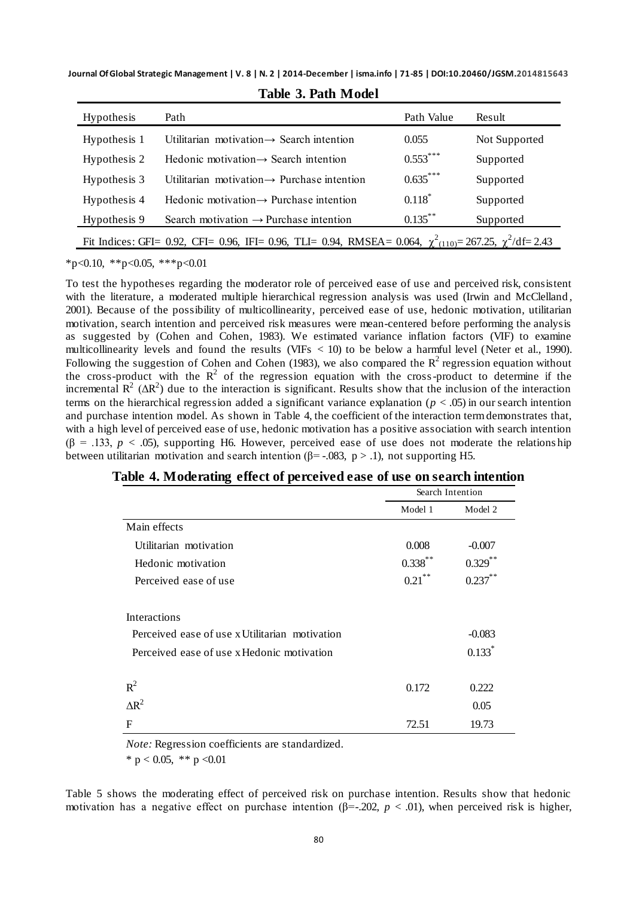**Journal Of Global Strategic Management | V. 8 | N. 2 | 2014-December | isma.info | 71-85 | DOI:10.20460/JGSM.2014815643**

| <b>Hypothesis</b>                                                                                                    | Path                                                    | Path Value | Result        |  |  |  |
|----------------------------------------------------------------------------------------------------------------------|---------------------------------------------------------|------------|---------------|--|--|--|
| Hypothesis 1                                                                                                         | Utilitarian motivation $\rightarrow$ Search intention   | 0.055      | Not Supported |  |  |  |
| Hypothesis 2                                                                                                         | Hedonic motivation $\rightarrow$ Search intention       | $0.553***$ | Supported     |  |  |  |
| Hypothesis 3                                                                                                         | Utilitarian motivation $\rightarrow$ Purchase intention | $0.635***$ | Supported     |  |  |  |
| Hypothesis 4                                                                                                         | Hedonic motivation $\rightarrow$ Purchase intention     | $0.118*$   | Supported     |  |  |  |
| Hypothesis 9                                                                                                         | Search motivation $\rightarrow$ Purchase intention      | $0.135***$ | Supported     |  |  |  |
| Fit Indices: GFI= 0.92, CFI= 0.96, IFI= 0.96, TLI= 0.94, RMSEA= 0.064, $\chi^2_{(110)}$ = 267.25, $\chi^2$ /df= 2.43 |                                                         |            |               |  |  |  |

**Table 3. Path Model**

 $*p<0.10$ ,  $*p<0.05$ ,  $**p<0.01$ 

To test the hypotheses regarding the moderator role of perceived ease of use and perceived risk, consistent with the literature, a moderated multiple hierarchical regression analysis was used (Irwin and McClelland, 2001). Because of the possibility of multicollinearity, perceived ease of use, hedonic motivation, utilitarian motivation, search intention and perceived risk measures were mean-centered before performing the analysis as suggested by (Cohen and Cohen, 1983). We estimated variance inflation factors (VIF) to examine multicollinearity levels and found the results (VIFs < 10) to be below a harmful level (Neter et al., 1990). Following the suggestion of Cohen and Cohen (1983), we also compared the  $R^2$  regression equation without the cross-product with the  $R^2$  of the regression equation with the cross-product to determine if the incremental  $R^2$  ( $\Delta R^2$ ) due to the interaction is significant. Results show that the inclusion of the interaction terms on the hierarchical regression added a significant variance explanation ( $p < .05$ ) in our search intention and purchase intention model. As shown in Table 4, the coefficient of the interaction term demonstrates that, with a high level of perceived ease of use, hedonic motivation has a positive association with search intention  $(β = .133, p < .05)$ , supporting H6. However, perceived ease of use does not moderate the relations hip between utilitarian motivation and search intention ( $\beta$ = -.083, p > .1), not supporting H5.

|                                                | Search Intention |            |  |
|------------------------------------------------|------------------|------------|--|
|                                                | Model 1          | Model 2    |  |
| Main effects                                   |                  |            |  |
| Utilitarian motivation                         | 0.008            | $-0.007$   |  |
| Hedonic motivation                             | $0.338^{**}$     | $0.329$ ** |  |
| Perceived ease of use                          | $0.21$ **        | $0.237$ ** |  |
| <b>Interactions</b>                            |                  |            |  |
| Perceived ease of use x Utilitarian motivation |                  | $-0.083$   |  |
| Perceived ease of use x Hedonic motivation     |                  | $0.133*$   |  |
| $R^2$                                          | 0.172            | 0.222      |  |
| $\Delta R^2$                                   |                  | 0.05       |  |
| F                                              | 72.51            | 19.73      |  |

|  |  |  |  |  | Table 4. Moderating effect of perceived ease of use on search intention |  |
|--|--|--|--|--|-------------------------------------------------------------------------|--|
|  |  |  |  |  |                                                                         |  |

*Note:* Regression coefficients are standardized.

\* p < 0.05, \*\* p < 0.01

Table 5 shows the moderating effect of perceived risk on purchase intention. Results show that hedonic motivation has a negative effect on purchase intention ( $\beta$ =-.202,  $p$  < .01), when perceived risk is higher,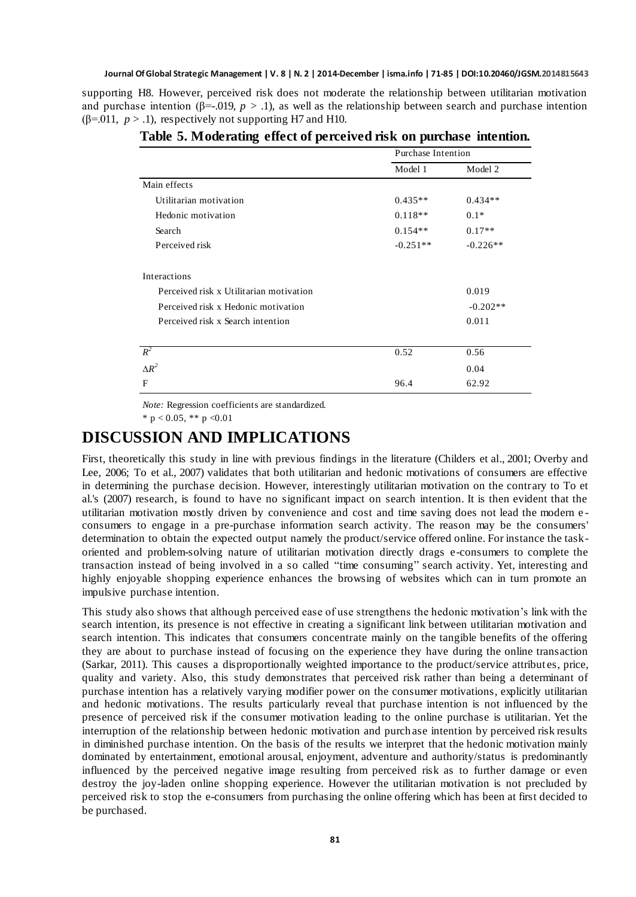supporting H8. However, perceived risk does not moderate the relationship between utilitarian motivation and purchase intention ( $\beta$ =-.019,  $p > 0.1$ ), as well as the relationship between search and purchase intention ( $\beta$ =.011,  $p > 0.1$ ), respectively not supporting H7 and H10.

|                                         | Purchase Intention |            |  |  |
|-----------------------------------------|--------------------|------------|--|--|
|                                         | Model 1            | Model 2    |  |  |
| Main effects                            |                    |            |  |  |
| Utilitarian motivation                  | $0.435**$          | $0.434**$  |  |  |
| Hedonic motivation                      | $0.118**$          | $0.1*$     |  |  |
| Search                                  | $0.154**$          | $0.17**$   |  |  |
| Perceived risk                          | $-0.251**$         | $-0.226**$ |  |  |
| Interactions                            |                    |            |  |  |
| Perceived risk x Utilitarian motivation |                    | 0.019      |  |  |
| Perceived risk x Hedonic motivation     |                    | $-0.202**$ |  |  |
| Perceived risk x Search intention       |                    | 0.011      |  |  |
|                                         |                    |            |  |  |
| $R^2$                                   | 0.52               | 0.56       |  |  |
| $\Lambda R^2$                           |                    | 0.04       |  |  |
| F                                       | 96.4               | 62.92      |  |  |

**Table 5. Moderating effect of perceived risk on purchase intention.**

*Note:* Regression coefficients are standardized.

\* p < 0.05, \*\* p < 0.01

#### **DISCUSSION AND IMPLICATIONS**

First, theoretically this study in line with previous findings in the literature (Childers et al., 2001; Overby and Lee, 2006; To et al., 2007) validates that both utilitarian and hedonic motivations of consumers are effective in determining the purchase decision. However, interestingly utilitarian motivation on the contrary to To et al.'s (2007) research, is found to have no significant impact on search intention. It is then evident that the utilitarian motivation mostly driven by convenience and cost and time saving does not lead the modern e consumers to engage in a pre-purchase information search activity. The reason may be the consumers' determination to obtain the expected output namely the product/service offered online. For instance the taskoriented and problem-solving nature of utilitarian motivation directly drags e-consumers to complete the transaction instead of being involved in a so called "time consuming" search activity. Yet, interesting and highly enjoyable shopping experience enhances the browsing of websites which can in turn promote an impulsive purchase intention.

This study also shows that although perceived ease of use strengthens the hedonic motivation's link with the search intention, its presence is not effective in creating a significant link between utilitarian motivation and search intention. This indicates that consumers concentrate mainly on the tangible benefits of the offering they are about to purchase instead of focusing on the experience they have during the online transaction (Sarkar, 2011). This causes a disproportionally weighted importance to the product/service attribut es, price, quality and variety. Also, this study demonstrates that perceived risk rather than being a determinant of purchase intention has a relatively varying modifier power on the consumer motivations, explicitly utilitarian and hedonic motivations. The results particularly reveal that purchase intention is not influenced by the presence of perceived risk if the consumer motivation leading to the online purchase is utilitarian. Yet the interruption of the relationship between hedonic motivation and purch ase intention by perceived risk results in diminished purchase intention. On the basis of the results we interpret that the hedonic motivation mainly dominated by entertainment, emotional arousal, enjoyment, adventure and authority/status is predominantly influenced by the perceived negative image resulting from perceived risk as to further damage or even destroy the joy-laden online shopping experience. However the utilitarian motivation is not precluded by perceived risk to stop the e-consumers from purchasing the online offering which has been at first decided to be purchased.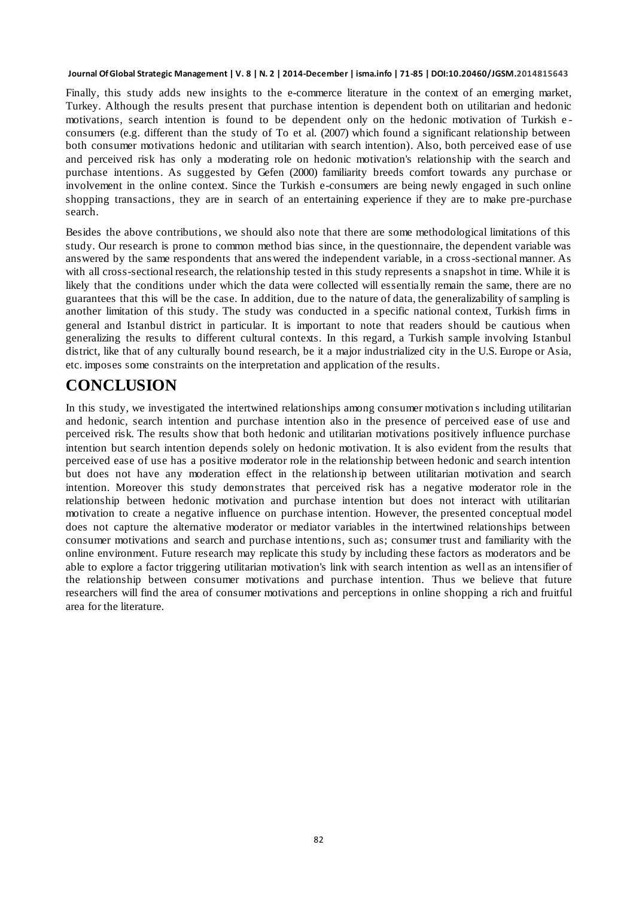Finally, this study adds new insights to the e-commerce literature in the context of an emerging market, Turkey. Although the results present that purchase intention is dependent both on utilitarian and hedonic motivations, search intention is found to be dependent only on the hedonic motivation of Turkish e consumers (e.g. different than the study of To et al. (2007) which found a significant relationship between both consumer motivations hedonic and utilitarian with search intention). Also, both perceived ease of use and perceived risk has only a moderating role on hedonic motivation's relationship with the search and purchase intentions. As suggested by Gefen (2000) familiarity breeds comfort towards any purchase or involvement in the online context. Since the Turkish e-consumers are being newly engaged in such online shopping transactions, they are in search of an entertaining experience if they are to make pre-purchase search.

Besides the above contributions, we should also note that there are some methodological limitations of this study. Our research is prone to common method bias since, in the questionnaire, the dependent variable was answered by the same respondents that answered the independent variable, in a cross-sectional manner. As with all cross-sectional research, the relationship tested in this study represents a snapshot in time. While it is likely that the conditions under which the data were collected will essentially remain the same, there are no guarantees that this will be the case. In addition, due to the nature of data, the generalizability of sampling is another limitation of this study. The study was conducted in a specific national context, Turkish firms in general and Istanbul district in particular. It is important to note that readers should be cautious when generalizing the results to different cultural contexts. In this regard, a Turkish sample involving Istanbul district, like that of any culturally bound research, be it a major industrialized city in the U.S. Europe or Asia, etc. imposes some constraints on the interpretation and application of the results.

## **CONCLUSION**

In this study, we investigated the intertwined relationships among consumer motivation s including utilitarian and hedonic, search intention and purchase intention also in the presence of perceived ease of use and perceived risk. The results show that both hedonic and utilitarian motivations positively influence purchase intention but search intention depends solely on hedonic motivation. It is also evident from the results that perceived ease of use has a positive moderator role in the relationship between hedonic and search intention but does not have any moderation effect in the relationship between utilitarian motivation and search intention. Moreover this study demonstrates that perceived risk has a negative moderator role in the relationship between hedonic motivation and purchase intention but does not interact with utilitarian motivation to create a negative influence on purchase intention. However, the presented conceptual model does not capture the alternative moderator or mediator variables in the intertwined relationships between consumer motivations and search and purchase intentions, such as; consumer trust and familiarity with the online environment. Future research may replicate this study by including these factors as moderators and be able to explore a factor triggering utilitarian motivation's link with search intention as well as an intensifier of the relationship between consumer motivations and purchase intention. Thus we believe that future researchers will find the area of consumer motivations and perceptions in online shopping a rich and fruitful area for the literature.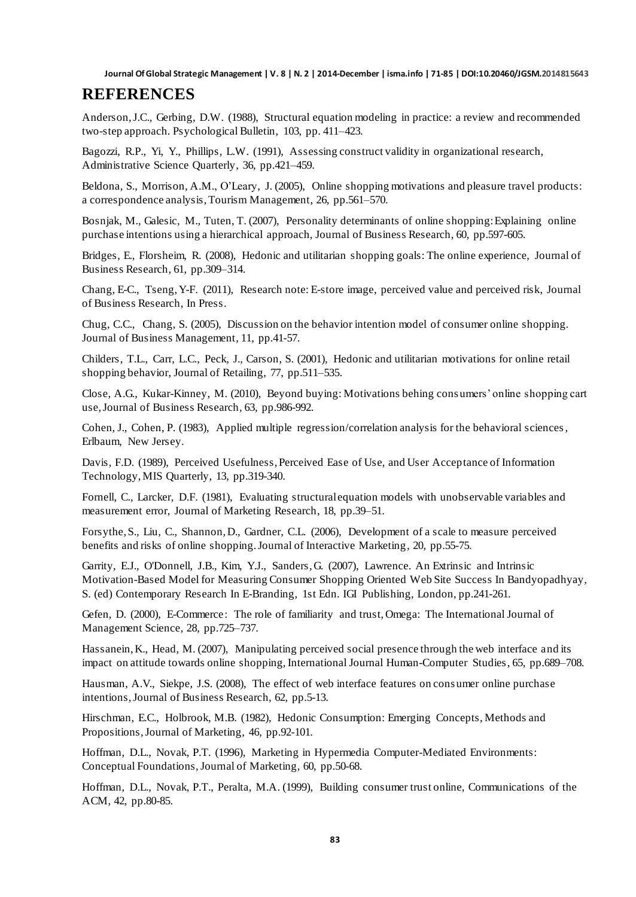#### **REFERENCES**

Anderson,J.C., Gerbing, D.W. (1988), Structural equation modeling in practice: a review and recommended two-step approach. Psychological Bulletin, 103, pp. 411–423.

Bagozzi, R.P., Yi, Y., Phillips, L.W. (1991), Assessing construct validity in organizational research, Administrative Science Quarterly, 36, pp.421–459.

Beldona, S., Morrison, A.M., O'Leary, J. (2005), Online shopping motivations and pleasure travel products: a correspondence analysis,Tourism Management, 26, pp.561–570.

Bosnjak, M., Galesic, M., Tuten, T. (2007), Personality determinants of online shopping: Explaining online purchase intentions using a hierarchical approach, Journal of Business Research, 60, pp.597-605.

Bridges, E., Florsheim, R. (2008), Hedonic and utilitarian shopping goals: The online experience, Journal of Business Research, 61, pp.309–314.

Chang, E-C., Tseng,Y-F. (2011), Research note: E-store image, perceived value and perceived risk, Journal of Business Research, In Press.

Chug, C.C., Chang, S. (2005), Discussion on the behavior intention model of consumer online shopping. Journal of Business Management, 11, pp.41-57.

Childers, T.L., Carr, L.C., Peck, J., Carson, S. (2001), Hedonic and utilitarian motivations for online retail shopping behavior, Journal of Retailing, 77, pp.511–535.

Close, A.G., Kukar-Kinney, M. (2010), Beyond buying: Motivations behing consumers' online shopping cart use,Journal of Business Research, 63, pp.986-992.

Cohen, J., Cohen, P. (1983), Applied multiple regression/correlation analysis for the behavioral sciences, Erlbaum, New Jersey.

Davis, F.D. (1989), Perceived Usefulness, Perceived Ease of Use, and User Acceptance of Information Technology, MIS Quarterly, 13, pp.319-340.

Fornell, C., Larcker, D.F. (1981), Evaluating structural equation models with unobservable variables and measurement error, Journal of Marketing Research, 18, pp.39–51.

Forsythe,S., Liu, C., Shannon,D., Gardner, C.L. (2006), Development of a scale to measure perceived benefits and risks of online shopping. Journal of Interactive Marketing, 20, pp.55-75.

Garrity, E.J., O'Donnell, J.B., Kim, Y.J., Sanders,G. (2007), Lawrence. An Extrinsic and Intrinsic Motivation-Based Model for Measuring Consumer Shopping Oriented Web Site Success I[n Bandyopadhyay](http://www.google.com.tr/search?hl=tr&tbo=p&tbm=bks&q=inauthor:%22Subir+Bandyopadhyay%22), S. (ed) Contemporary Research In E-Branding, 1st Edn. IGI Publishing, London, pp.241-261.

Gefen, D. (2000), E-Commerce: The role of familiarity and trust, Omega: The International Journal of Management Science, 28, pp.725–737.

Hassanein, K., Head, M. (2007), Manipulating perceived social presence through the web interface and its impact on attitude towards online shopping, International Journal Human-Computer Studies, 65, pp.689–708.

Hausman, A.V., Siekpe, J.S. (2008), The effect of web interface features on consumer online purchase intentions,Journal of Business Research, 62, pp.5-13.

[Hirschman,](http://search.proquest.com/docview.lateralsearchlink:lateralsearch/sng/author/Hirschman,+Elizabeth+C/$N?t:ac=227802683/abstract&t:cp=maintain/resultcitationblocks) E.C., [Holbrook,](http://search.proquest.com/docview.lateralsearchlink:lateralsearch/sng/author/Holbrook,+Morris+B/$N?t:ac=227802683/abstract&t:cp=maintain/resultcitationblocks) M.B. (1982), Hedonic Consumption: Emerging Concepts, Methods and Propositions[,Journal of Marketing,](http://search.proquest.com/docview.lateralsearchlinkbypubid:lateralsearch/sng/pubtitle/Journal+of+Marketing/$N/617?t:ac=227802683/abstract&t:cp=maintain/resultcitationblocks) 46, pp.92-101.

Hoffman, D.L., Novak, P.T. (1996), Marketing in Hypermedia Computer-Mediated Environments: Conceptual Foundations,Journal of Marketing, 60, pp.50-68.

Hoffman, D.L., Novak, P.T., Peralta, M.A. (1999), Building consumer trust online, Communications of the ACM, 42, pp.80-85.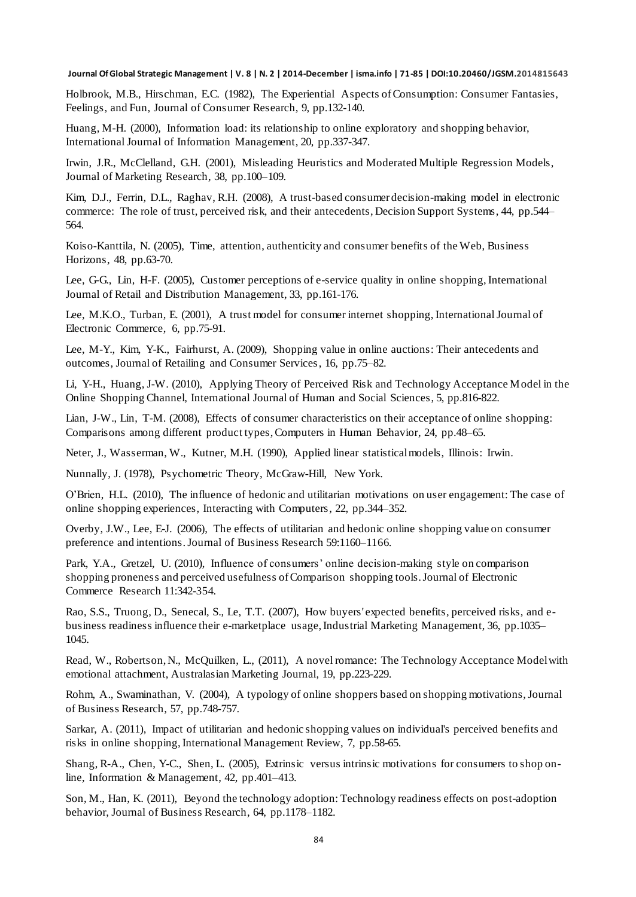Holbrook, M.B., Hirschman, E.C. (1982), The Experiential Aspects of Consumption: Consumer Fantasies, Feelings, and Fun, Journal of Consumer Research, 9, pp.132-140.

Huang, M-H. (2000), Information load: its relationship to online exploratory and shopping behavior, International Journal of Information Management, 20, pp.337-347.

Irwin, J.R., McClelland, G.H. (2001), Misleading Heuristics and Moderated Multiple Regression Models, Journal of Marketing Research, 38, pp.100–109.

Kim, D.J., Ferrin, D.L., Raghav, R.H. (2008), A trust-based consumer decision-making model in electronic commerce: The role of trust, perceived risk, and their antecedents, Decision Support Systems, 44, pp.544– 564.

Koiso-Kanttila, N. (2005), Time, attention, authenticity and consumer benefits of the Web, Business Horizons, 48, pp.63-70.

Lee, G-G., Lin, H-F. (2005), Customer perceptions of e-service quality in online shopping, International Journal of Retail and Distribution Management, 33, pp.161-176.

Lee, M.K.O., Turban, E. (2001), A trust model for consumer internet shopping, International Journal of Electronic Commerce, 6, pp.75-91.

Lee, M-Y., Kim, Y-K., Fairhurst, A. (2009), Shopping value in online auctions: Their antecedents and outcomes, Journal of Retailing and Consumer Services, 16, pp.75–82.

Li, Y-H., Huang, J-W. (2010), Applying Theory of Perceived Risk and Technology Acceptance Model in the Online Shopping Channel, International Journal of Human and Social Sciences, 5, pp.816-822.

Lian, J-W., Lin, T-M. (2008), Effects of consumer characteristics on their acceptance of online shopping: Comparisons among different product types,Computers in Human Behavior, 24, pp.48–65.

Neter, J., Wasserman, W., Kutner, M.H. (1990), Applied linear statistical models, Illinois: Irwin.

Nunnally, J. (1978), Psychometric Theory, McGraw-Hill, New York.

O'Brien, H.L. (2010), The influence of hedonic and utilitarian motivations on user engagement: The case of online shopping experiences, Interacting with Computers, 22, pp.344–352.

Overby, J.W., Lee, E-J. (2006), The effects of utilitarian and hedonic online shopping value on consumer preference and intentions. Journal of Business Research 59:1160–1166.

Park, Y.A., Gretzel, U. (2010), Influence of consumers' online decision-making style on comparison shopping proneness and perceived usefulness of Comparison shopping tools. Journal of Electronic Commerce Research 11:342-354.

Rao, S.S., Truong, D., Senecal, S., Le, T.T. (2007), How buyers' expected benefits, perceived risks, and ebusiness readiness influence their e-marketplace usage, Industrial Marketing Management, 36, pp.1035– 1045.

Read, W., Robertson,N., McQuilken, L., (2011), A novel romance: The Technology Acceptance Model with emotional attachment, Australasian Marketing Journal, 19, pp.223-229.

Rohm, A., Swaminathan, V. (2004), A typology of online shoppers based on shopping motivations,Journal of Business Research, 57, pp.748-757.

Sarkar, A. (2011), Impact of utilitarian and hedonic shopping values on individual's perceived benefits and risks in online shopping, International Management Review, 7, pp.58-65.

Shang, R-A., Chen, Y-C., Shen, L. (2005), Extrinsic versus intrinsic motivations for consumers to shop online, Information & Management, 42, pp.401–413.

Son, M., Han, K. (2011), Beyond the technology adoption: Technology readiness effects on post-adoption behavior, Journal of Business Research, 64, pp.1178–1182.